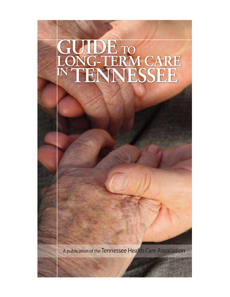# **GUIDE TO LONG-TERM CARE IN TENNESSEE**

A publication of the Tennessee Health Care Association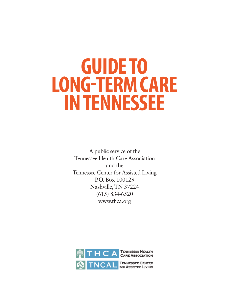# **GUIDE TO LONG-TERM CARE IN TENNESSEE**

A public service of the Tennessee Health Care Association and the Tennessee Center for Assisted Living P.O. Box 100129 Nashville, TN 37224 (615) 834-6520 www.thca.org

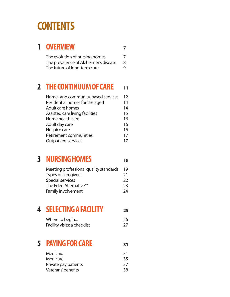## **CONTENTS**

### **1 OVERVIEW <sup>7</sup>**

| The evolution of nursing homes        |   |
|---------------------------------------|---|
| The prevalence of Alzheimer's disease | 8 |
| The future of long-term care          | 9 |

### **2 THE CONTINUUM OF CARE <sup>11</sup>**

| Home- and community-based services | 12 |
|------------------------------------|----|
| Residential homes for the aged     | 14 |
| Adult care homes                   | 14 |
| Assisted care living facilities    | 15 |
| Home health care                   | 16 |
| Adult day care                     | 16 |
| Hospice care                       | 16 |
| Retirement communities             | 17 |
| <b>Outpatient services</b>         | 17 |

## **3 NURSING HOMES <sup>19</sup>**

| Meeting professional quality standards | 19           |
|----------------------------------------|--------------|
| Types of caregivers                    | 21           |
| Special services                       | $22^{\circ}$ |
| The Eden Alternative <sup>™</sup>      | 23           |
| Family involvement                     | 24           |

### **4 SELECTING A FACILITY <sup>25</sup>**

| Where to begin               | 26 |
|------------------------------|----|
| Facility visits: a checklist | 27 |

### **5 PAYING FOR CARE <sup>31</sup>**

| <b>Medicaid</b>      | 31 |
|----------------------|----|
| Medicare             | 35 |
| Private pay patients | 37 |
| Veterans' benefits   | 38 |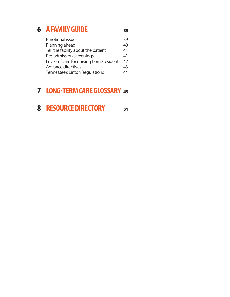### **6 A FAMILY GUIDE <sup>39</sup>**

Emotional issues 39 Planning ahead 40 Tell the facility about the patient 41 Pre-admission screenings 41 Levels of care for nursing home residents 42 Advance directives 43 Tennessee's Linton Regulations 44

### **7 LONG-TERM CARE GLOSSARY <sup>45</sup>**

### **8 RESOURCE DIRECTORY <sup>51</sup>**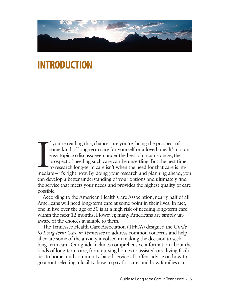

## **INTRODUCTION**

If you're reading this, chances are you're facing the prospect of some kind of long-term care for yourself or a loved one. It's not an easy topic to discuss; even under the best of circumstances, the prospect of needing su f you're reading this, chances are you're facing the prospect of some kind of long-term care for yourself or a loved one. It's not an easy topic to discuss; even under the best of circumstances, the prospect of needing such care can be unsettling. But the best time to research long-term care isn't when the need for that care is imcan develop a better understanding of your options and ultimately find the service that meets your needs and provides the highest quality of care possible.

According to the American Health Care Association, nearly half of all Americans will need long-term care at some point in their lives. In fact, one in five over the age of 50 is at a high risk of needing long-term care within the next 12 months. However, many Americans are simply unaware of the choices available to them.

The Tennessee Health Care Association (THCA) designed the *Guide to Long-term Care in Tennessee* to address common concerns and help alleviate some of the anxiety involved in making the decision to seek long-term care. Our guide includes comprehensive information about the kinds of long-term care, from nursing homes to assisted care living facilities to home- and community-based services. It offers advice on how to go about selecting a facility, how to pay for care, and how families can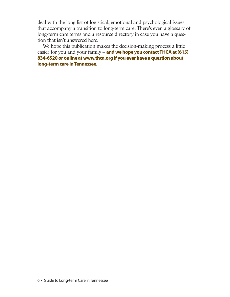deal with the long list of logistical, emotional and psychological issues that accompany a transition to long-term care. There's even a glossary of long-term care terms and a resource directory in case you have a question that isn't answered here.

We hope this publication makes the decision-making process a little easier for you and your family – **and we hope you contact THCA at (615) 834-6520 or online at www.thca.org if you ever have a question about long-term care in Tennessee.**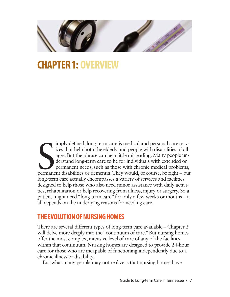

## **CHAPTER 1: OVERVIEW**

Sharehold and personal care services that help both the elderly and people with disabilities of all ages. But the phrase can be a little misleading. Many people understand long-term care to be for individuals with extended imply defined, long-term care is medical and personal care services that help both the elderly and people with disabilities of all ages. But the phrase can be a little misleading. Many people understand long-term care to be for individuals with extended or permanent needs, such as those with chronic medical problems, long-term care actually encompasses a variety of services and facilities designed to help those who also need minor assistance with daily activities, rehabilitation or help recovering from illness, injury or surgery. So a patient might need "long-term care" for only a few weeks or months – it all depends on the underlying reasons for needing care.

### **THE EVOLUTION OF NURSING HOMES**

There are several different types of long-term care available – Chapter 2 will delve more deeply into the "continuum of care." But nursing homes offer the most complex, intensive level of care of any of the facilities within that continuum. Nursing homes are designed to provide 24-hour care for those who are incapable of functioning independently due to a chronic illness or disability.

But what many people may not realize is that nursing homes have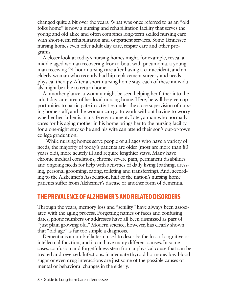changed quite a bit over the years. What was once referred to as an "old folks home" is now a nursing and rehabilitation facility that serves the young and old alike and often combines long-term skilled nursing care with short-term rehabilitation and outpatient services. Some Tennessee nursing homes even offer adult day care, respite care and other programs.

A closer look at today's nursing homes might, for example, reveal a middle-aged woman recovering from a bout with pneumonia, a young man receiving 24-hour nursing care after having a car accident, and an elderly woman who recently had hip replacement surgery and needs physical therapy. After a short nursing home stay, each of these individuals might be able to return home.

At another glance, a woman might be seen helping her father into the adult day care area of her local nursing home. Here, he will be given opportunities to participate in activities under the close supervision of nursing home staff, and the woman can go to work without having to worry whether her father is in a safe environment. Later, a man who normally cares for his aging mother in his home brings her to the nursing facility for a one-night stay so he and his wife can attend their son's out-of-town college graduation.

While nursing homes serve people of all ages who have a variety of needs, the majority of today's patients are older (most are more than 80 years old), more acutely ill and require lengthier stays. Many have chronic medical conditions, chronic severe pain, permanent disabilities and ongoing needs for help with activities of daily living (bathing, dressing, personal grooming, eating, toileting and transferring). And, according to the Alzheimer's Association, half of the nation's nursing home patients suffer from Alzheimer's disease or another form of dementia.

### **THE PREVALENCE OF ALZHEIMER'S AND RELATED DISORDERS**

Through the years, memory loss and "senility" have always been associated with the aging process. Forgetting names or faces and confusing dates, phone numbers or addresses have all been dismissed as part of "just plain growing old." Modern science, however, has clearly shown that "old age" is far too simple a diagnosis.

Dementia is an umbrella term used to describe the loss of cognitive or intellectual function, and it can have many different causes. In some cases, confusion and forgetfulness stem from a physical cause that can be treated and reversed. Infections, inadequate thyroid hormone, low blood sugar or even drug interactions are just some of the possible causes of mental or behavioral changes in the elderly.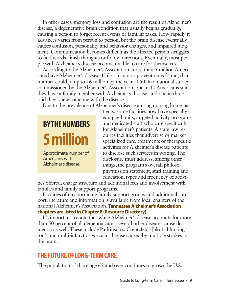In other cases, memory loss and confusion are the result of Alzheimer's disease, a degenerative brain condition that usually begins gradually, causing a person to forget recent events or familiar tasks. How rapidly it advances varies from person to person, but the brain disease eventually causes confusion, personality and behavior changes, and impaired judgment. Communication becomes difficult as the affected person struggles to find words, finish thoughts or follow directions. Eventually, most people with Alzheimer's disease become unable to care for themselves.

According to the Alzheimer's Association, more than 5 million Americans have Alzheimer's disease. Unless a cure or prevention is found, that number could jump to 16 million by the year 2050. In a national survey commissioned by the Alzheimer's Association, one in 10 Americans said they have a family member with Alzheimer's disease, and one in three said they knew someone with the disease.

Due to the prevalence of Alzheimer's disease among nursing home pa-



tients, some facilities now have specially equipped units, targeted activity programs and dedicated staff who care specifically for Alzheimer's patients. A state law requires facilities that advertise or market specialized care, treatments or therapeutic activities for Alzheimer's disease patients to disclose such services in writing. The disclosure must address, among other things, the program's overall philosophy/mission statement, staff training and education, types and frequency of activi-

ties offered, charge structure and additional fees and involvement with families and family support programs.

Facilities often coordinate family support groups and additional support, literature and information is available from local chapters of the national Alzheimer's Association. **Tennessee Alzheimer's Association chapters are listed in Chapter 8 (Resource Directory).**

It's important to note that while Alzheimer's disease accounts for more than 50 percent of all dementia cases, several other diseases cause dementia as well. These include Parkinson's, Creutzfeldt-Jakob, Huntington's and multi-infarct or vascular disease caused by multiple strokes in the brain.

### **THE FUTURE OF LONG-TERM CARE**

The population of those age 65 and over continues to grow; the U.S.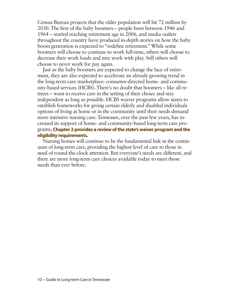Census Bureau projects that the older population will hit 72 million by 2030. The first of the baby boomers – people born between 1946 and 1964 – started reaching retirement age in 2006, and media outlets throughout the country have produced in-depth stories on how the baby boom generation is expected to "redefine retirement." While some boomers will choose to continue to work full-time, others will choose to decrease their work loads and mix work with play. Still others will choose to never work for pay again.

Just as the baby boomers are expected to change the face of retirement, they are also expected to accelerate an already growing trend in the long-term care marketplace: consumer-directed home- and community-based services (HCBS). There's no doubt that boomers – like all retirees – want to receive care in the setting of their choice and stay independent as long as possible. HCBS waiver programs allow states to establish frameworks for giving certain elderly and disabled individuals options of living at home or in the community until their needs demand more intensive nursing care. Tennessee, over the past few years, has increased its support of home- and community-based long-term care programs; **Chapter 2 provides a review of the state's waiver program and the eligibility requirements.**

Nursing homes will continue to be the fundamental link in the continuum of long-term care, providing the highest level of care to those in need of round-the-clock attention. But everyone's needs are different, and there are more long-term care choices available today to meet those needs than ever before.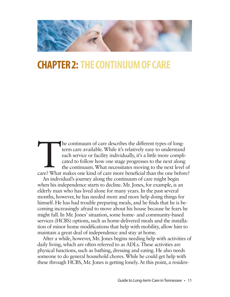

## **CHAPTER 2: THE CONTINUUM OF CARE**

The continuum of care describes the different types of long-<br>term care available. While it's relatively easy to understand<br>each service or facility individually, it's a little more compli-<br>cated to follow how one stage pro term care available. While it's relatively easy to understand each service or facility individually, it's a little more complicated to follow how one stage progresses to the next along the continuum. What necessitates moving to the next level of

An individual's journey along the continuum of care might begin when his independence starts to decline. Mr. Jones, for example, is an elderly man who has lived alone for many years. In the past several months, however, he has needed more and more help doing things for himself. He has had trouble preparing meals, and he finds that he is becoming increasingly afraid to move about his house because he fears he might fall. In Mr. Jones' situation, some home- and community-based services (HCBS) options, such as home-delivered meals and the installation of minor home modifications that help with mobility, allow him to maintain a great deal of independence and stay at home.

After a while, however, Mr. Jones begins needing help with activities of daily living, which are often referred to as ADLs. These activities are physical functions, such as bathing, dressing and eating. He also needs someone to do general household chores. While he could get help with these through HCBS, Mr. Jones is getting lonely. At this point, a residen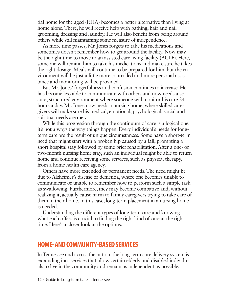tial home for the aged (RHA) becomes a better alternative than living at home alone. There, he will receive help with bathing, hair and nail grooming, dressing and laundry. He will also benefit from being around others while still maintaining some measure of independence.

As more time passes, Mr. Jones forgets to take his medications and sometimes doesn't remember how to get around the facility. Now may be the right time to move to an assisted care living facility (ACLF). Here, someone will remind him to take his medications and make sure he takes the right dosage. Meals will continue to be prepared for him, but the environment will be just a little more controlled and more personal assistance and monitoring will be provided.

But Mr. Jones' forgetfulness and confusion continues to increase. He has become less able to communicate with others and now needs a secure, structured environment where someone will monitor his care 24 hours a day. Mr. Jones now needs a nursing home, where skilled caregivers will make sure his medical, emotional, psychological, social and spiritual needs are met.

While this progression through the continuum of care is a logical one, it's not always the way things happen. Every individual's needs for longterm care are the result of unique circumstances. Some have a short-term need that might start with a broken hip caused by a fall, prompting a short hospital stay followed by some brief rehabilitation. After a one- or two-month nursing home stay, such an individual might be able to return home and continue receiving some services, such as physical therapy, from a home health care agency.

Others have more extended or permanent needs. The need might be due to Alzheimer's disease or dementia, where one becomes unable to communicate or unable to remember how to perform such a simple task as swallowing. Furthermore, they may become combative and, without realizing it, actually cause harm to family caregivers trying to take care of them in their home. In this case, long-term placement in a nursing home is needed.

Understanding the different types of long-term care and knowing what each offers is crucial to finding the right kind of care at the right time. Here's a closer look at the options.

### **HOME- AND COMMUNITY-BASED SERVICES**

In Tennessee and across the nation, the long-term care delivery system is expanding into services that allow certain elderly and disabled individuals to live in the community and remain as independent as possible.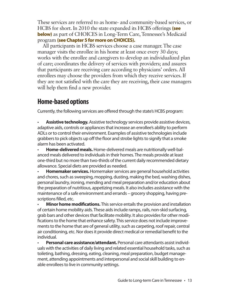These services are referred to as home- and community-based services, or HCBS for short. In 2010 the state expanded its HCBS offerings **(see below)** as part of CHOICES in Long-Term Care, Tennessee's Medicaid program **(see Chapter 5 for more on CHOICES).** 

All participants in HCBS services choose a case manager. The case manager visits the enrollee in his home at least once every 30 days; works with the enrollee and caregivers to develop an individualized plan of care; coordinates the delivery of services with providers; and assures that participants are receiving care according to physicians' orders. All enrollees may choose the providers from which they receive services. If they are not satisfied with the care they are receiving, their case managers will help them find a new provider.

### **Home-based options**

Currently, the following services are offered through the state's HCBS program:

• **Assistive technology.** Assistive technology services provide assistive devices, adaptive aids, controls or appliances that increase an enrollee's ability to perform ADLs or to control their environment. Examples of assistive technologies include grabbers to pick objects up off the floor and strobe lights to signify that a smoke alarm has been activated.

• **Home-delivered meals.**Home-delivered meals are nutritionally well-balanced meals delivered to individuals in their homes. The meals provide at least one-third but no more than two-thirds of the current daily recommended dietary allowance. Special diets are provided as needed.

• **Homemaker services.**Homemaker services are general household activities and chores, such as sweeping, mopping, dusting, making the bed, washing dishes, personal laundry, ironing, mending and meal preparation and/or education about the preparation of nutritious, appetizing meals. It also includes assistance with the maintenance of a safe environment and errands – grocery shopping, having prescriptions filled, etc.

• **Minor home modifications.** This service entails the provision and installation of certain home mobility aids. These aids include ramps, rails, non-skid surfacing, grab bars and other devices that facilitate mobility. It also provides for other modifications to the home that enhance safety. This service does not include improvements to the home that are of general utility, such as carpeting, roof repair, central air conditioning, etc. Nor does it provide direct medical or remedial benefit to the individual.

• **Personal care assistance/attendant.** Personal care attendants assist individuals with the activities of daily living and related essential household tasks, such as toileting, bathing, dressing, eating, cleaning, meal preparation, budget management, attending appointments and interpersonal and social skill building to enable enrollees to live in community settings.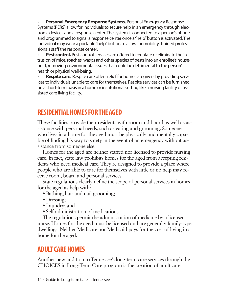• **Personal Emergency Response Systems.** Personal Emergency Response Systems (PERS) allow for individuals to secure help in an emergency through electronic devices and a response center. The system is connected to a person's phone and programmed to signal a response center once a "help" button is activated. The individual may wear a portable "help" button to allow for mobility. Trained professionals staff the response center.

**Pest control.** Pest control services are offered to regulate or eliminate the intrusion of mice, roaches, wasps and other species of pests into an enrollee's household, removing environmental issues that could be detrimental to the person's health or physical well-being.

**Respite care.** Respite care offers relief for home caregivers by providing services to individuals unable to care for themselves. Respite services can be furnished on a short-term basis in a home or institutional setting like a nursing facility or assisted care living facility.

### **RESIDENTIAL HOMES FOR THE AGED**

These facilities provide their residents with room and board as well as assistance with personal needs, such as eating and grooming. Someone who lives in a home for the aged must be physically and mentally capable of finding his way to safety in the event of an emergency without assistance from someone else.

Homes for the aged are neither staffed nor licensed to provide nursing care. In fact, state law prohibits homes for the aged from accepting residents who need medical care. They're designed to provide a place where people who are able to care for themselves with little or no help may receive room, board and personal services.

State regulations clearly define the scope of personal services in homes for the aged as help with:

- Bathing, hair and nail grooming;
- Dressing;
- Laundry; and
- Self-administration of medications.

The regulations permit the administration of medicine by a licensed nurse. Homes for the aged must be licensed and are generally family-type dwellings. Neither Medicare nor Medicaid pays for the cost of living in a home for the aged.

### **ADULT CARE HOMES**

Another new addition to Tennessee's long-term care services through the CHOICES in Long-Term Care program is the creation of adult care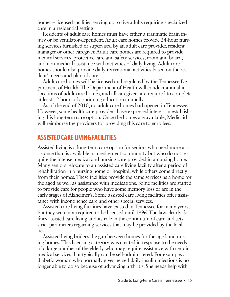homes – licensed facilities serving up to five adults requiring specialized care in a residential setting.

Residents of adult care homes must have either a traumatic brain injury or be ventilator-dependent. Adult care homes provide 24-hour nursing services furnished or supervised by an adult care provider, resident manager or other caregiver. Adult care homes are required to provide medical services, protective care and safety services, room and board, and non-medical assistance with activities of daily living. Adult care homes should also provide daily recreational activities based on the resident's needs and plan of care.

Adult care homes will be licensed and regulated by the Tennessee Department of Health. The Department of Health will conduct annual inspections of adult care homes, and all caregivers are required to complete at least 12 hours of continuing education annually.

As of the end of 2010, no adult care homes had opened in Tennessee. However, some health care providers have expressed interest in establishing this long-term care option. Once the homes are available, Medicaid will reimburse the providers for providing this care to enrollees.

### **ASSISTED CARE LIVING FACILITIES**

Assisted living is a long-term care option for seniors who need more assistance than is available in a retirement community but who do not require the intense medical and nursing care provided in a nursing home. Many seniors relocate to an assisted care living facility after a period of rehabilitation in a nursing home or hospital, while others come directly from their homes. These facilities provide the same services as a home for the aged as well as assistance with medications. Some facilities are staffed to provide care for people who have some memory loss or are in the early stages of Alzheimer's. Some assisted care living facilities offer assistance with incontinence care and other special services.

Assisted care living facilities have existed in Tennessee for many years, but they were not required to be licensed until 1996. The law clearly defines assisted care living and its role in the continuum of care and sets strict parameters regarding services that may be provided by the facilities.

Assisted living bridges the gap between homes for the aged and nursing homes. This licensing category was created in response to the needs of a large number of the elderly who may require assistance with certain medical services that typically can be self-administered. For example, a diabetic woman who normally gives herself daily insulin injections is no longer able to do so because of advancing arthritis. She needs help with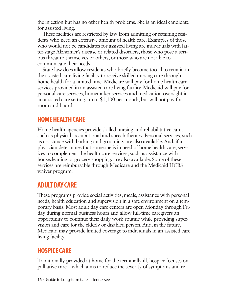the injection but has no other health problems. She is an ideal candidate for assisted living.

These facilities are restricted by law from admitting or retaining residents who need an extensive amount of health care. Examples of those who would not be candidates for assisted living are individuals with latter-stage Alzheimer's disease or related disorders, those who pose a serious threat to themselves or others, or those who are not able to communicate their needs.

State law does allow residents who briefly become too ill to remain in the assisted care living facility to receive skilled nursing care through home health for a limited time. Medicare will pay for home health care services provided in an assisted care living facility. Medicaid will pay for personal care services, homemaker services and medication oversight in an assisted care setting, up to \$1,100 per month, but will not pay for room and board.

### **HOME HEALTH CARE**

Home health agencies provide skilled nursing and rehabilitative care, such as physical, occupational and speech therapy. Personal services, such as assistance with bathing and grooming, are also available. And, if a physician determines that someone is in need of home health care, services to complement the health care services, such as assistance with housecleaning or grocery shopping, are also available. Some of these services are reimbursable through Medicare and the Medicaid HCBS waiver program.

### **ADULT DAY CARE**

These programs provide social activities, meals, assistance with personal needs, health education and supervision in a safe environment on a temporary basis. Most adult day care centers are open Monday through Friday during normal business hours and allow full-time caregivers an opportunity to continue their daily work routine while providing supervision and care for the elderly or disabled person. And, in the future, Medicaid may provide limited coverage to individuals in an assisted care living facility.

### **HOSPICE CARE**

Traditionally provided at home for the terminally ill, hospice focuses on palliative care – which aims to reduce the severity of symptoms and re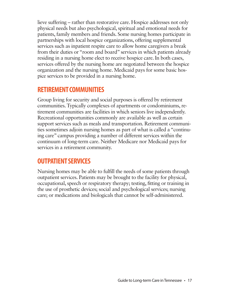lieve suffering – rather than restorative care. Hospice addresses not only physical needs but also psychological, spiritual and emotional needs for patients, family members and friends. Some nursing homes participate in partnerships with local hospice organizations, offering supplemental services such as inpatient respite care to allow home caregivers a break from their duties or "room and board" services in which patients already residing in a nursing home elect to receive hospice care. In both cases, services offered by the nursing home are negotiated between the hospice organization and the nursing home. Medicaid pays for some basic hospice services to be provided in a nursing home.

### **RETIREMENT COMMUNITIES**

Group living for security and social purposes is offered by retirement communities. Typically complexes of apartments or condominiums, retirement communities are facilities in which seniors live independently. Recreational opportunities commonly are available as well as certain support services such as meals and transportation. Retirement communities sometimes adjoin nursing homes as part of what is called a "continuing care" campus providing a number of different services within the continuum of long-term care. Neither Medicare nor Medicaid pays for services in a retirement community.

### **OUTPATIENT SERVICES**

Nursing homes may be able to fulfill the needs of some patients through outpatient services. Patients may be brought to the facility for physical, occupational, speech or respiratory therapy; testing, fitting or training in the use of prosthetic devices; social and psychological services; nursing care; or medications and biologicals that cannot be self-administered.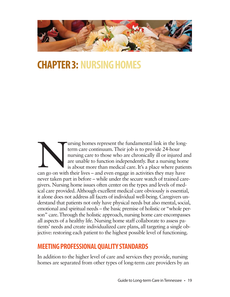

## **CHAPTER 3: NURSING HOMES**

University homes represent the fundamental link in the long-<br>term care continuum. Their job is to provide 24-hour<br>nursing care to those who are chronically ill or injured at<br>are unable to function independently. But a nurs term care continuum. Their job is to provide 24-hour nursing care to those who are chronically ill or injured and are unable to function independently. But a nursing home is about more than medical care. It's a place where patients never taken part in before – while under the secure watch of trained caregivers. Nursing home issues often center on the types and levels of medical care provided. Although excellent medical care obviously is essential, it alone does not address all facets of individual well-being. Caregivers understand that patients not only have physical needs but also mental, social, emotional and spiritual needs – the basic premise of holistic or "whole person" care. Through the holistic approach, nursing home care encompasses all aspects of a healthy life. Nursing home staff collaborate to assess patients' needs and create individualized care plans, all targeting a single objective: restoring each patient to the highest possible level of functioning.

### **MEETING PROFESSIONAL QUALITY STANDARDS**

In addition to the higher level of care and services they provide, nursing homes are separated from other types of long-term care providers by an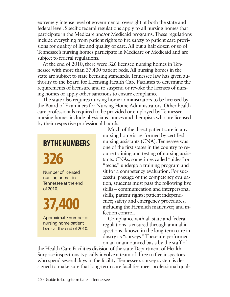extremely intense level of governmental oversight at both the state and federal level. Specific federal regulations apply to all nursing homes that participate in the Medicare and/or Medicaid programs. These regulations include everything from patient rights to fire safety to patient care provisions for quality of life and quality of care. All but a half dozen or so of Tennessee's nursing homes participate in Medicare or Medicaid and are subject to federal regulations.

At the end of 2010, there were 326 licensed nursing homes in Tennessee with more than 37,400 patient beds. All nursing homes in the state are subject to state licensing standards. Tennessee law has given authority to the Board for Licensing Health Care Facilities to determine the requirements of licensure and to suspend or revoke the licenses of nursing homes or apply other sanctions to ensure compliance.

The state also requires nursing home administrators to be licensed by the Board of Examiners for Nursing Home Administrators. Other health care professionals required to be provided or employed by Tennessee nursing homes include physicians, nurses and therapists who are licensed by their respective professional boards.

## **BY THE NUMBERS**

**326**

Number of licensed nursing homes in Tennessee at the end of 2010.

# **37,400**

Approximate number of nursing home patient beds at the end of 2010.

Much of the direct patient care in any nursing home is performed by certified nursing assistants (CNA). Tennessee was one of the first states in the country to require training and testing of nursing assistants. CNAs, sometimes called "aides" or "techs," undergo a training program and sit for a competency evaluation. For successful passage of the competency evaluation, students must pass the following five skills – communication and interpersonal skills; patient rights; patient independence; safety and emergency procedures, including the Heimlich maneuver; and infection control.

Compliance with all state and federal regulations is ensured through annual inspections, known in the long-term care industry as "surveys." These are performed on an unannounced basis by the staff of

the Health Care Facilities division of the state Department of Health. Surprise inspections typically involve a team of three to five inspectors who spend several days in the facility. Tennessee's survey system is designed to make sure that long-term care facilities meet professional qual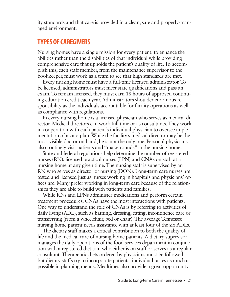ity standards and that care is provided in a clean, safe and properly-managed environment.

### **TYPES OF CAREGIVERS**

Nursing homes have a single mission for every patient: to enhance the abilities rather than the disabilities of that individual while providing comprehensive care that upholds the patient's quality of life. To accomplish this, each staff member, from the maintenance supervisor to the bookkeeper, must work as a team to see that high standards are met.

Every nursing home must have a full-time licensed administrator. To be licensed, administrators must meet state qualifications and pass an exam. To remain licensed, they must earn 18 hours of approved continuing education credit each year. Administrators shoulder enormous responsibility as the individuals accountable for facility operations as well as compliance with regulations.

In every nursing home is a licensed physician who serves as medical director. Medical directors can work full time or as consultants. They work in cooperation with each patient's individual physician to oversee implementation of a care plan. While the facility's medical director may be the most visible doctor on hand, he is not the only one. Personal physicians also routinely visit patients and "make rounds" in the nursing home.

State and federal regulations help determine the number of registered nurses (RN), licensed practical nurses (LPN) and CNAs on staff at a nursing home at any given time. The nursing staff is supervised by an RN who serves as director of nursing (DON). Long-term care nurses are tested and licensed just as nurses working in hospitals and physicians' offices are. Many prefer working in long-term care because of the relationships they are able to build with patients and families.

While RNs and LPNs administer medications and perform certain treatment procedures, CNAs have the most interactions with patients. One way to understand the role of CNAs is by referring to activities of daily living (ADL), such as bathing, dressing, eating, incontinence care or transferring (from a wheelchair, bed or chair). The average Tennessee nursing home patient needs assistance with at least four of the six ADLs.

The dietary staff makes a critical contribution to both the quality of life and the medical care of nursing home patients. A dietary supervisor manages the daily operations of the food services department in conjunction with a registered dietitian who either is on staff or serves as a regular consultant. Therapeutic diets ordered by physicians must be followed, but dietary staffs try to incorporate patients' individual tastes as much as possible in planning menus. Mealtimes also provide a great opportunity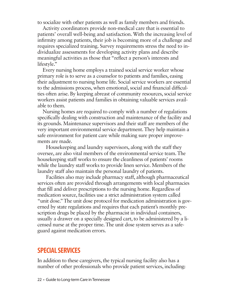to socialize with other patients as well as family members and friends.

Activity coordinators provide non-medical care that is essential to patients' overall well-being and satisfaction. With the increasing level of infirmity among patients, their job is becoming more of a challenge and requires specialized training. Survey requirements stress the need to individualize assessments for developing activity plans and describe meaningful activities as those that "reflect a person's interests and lifestyle."

Every nursing home employs a trained social service worker whose primary role is to serve as a counselor to patients and families, easing their adjustment to nursing home life. Social service workers are essential to the admissions process, when emotional, social and financial difficulties often arise. By keeping abreast of community resources, social service workers assist patients and families in obtaining valuable services available to them.

Nursing homes are required to comply with a number of regulations specifically dealing with construction and maintenance of the facility and its grounds. Maintenance supervisors and their staff are members of the very important environmental service department. They help maintain a safe environment for patient care while making sure proper improvements are made.

Housekeeping and laundry supervisors, along with the staff they oversee, are also vital members of the environmental service team. The housekeeping staff works to ensure the cleanliness of patients' rooms while the laundry staff works to provide linen service. Members of the laundry staff also maintain the personal laundry of patients.

Facilities also may include pharmacy staff, although pharmaceutical services often are provided through arrangements with local pharmacies that fill and deliver prescriptions to the nursing home. Regardless of medication source, facilities use a strict administration system called "unit dose." The unit dose protocol for medication administration is governed by state regulations and requires that each patient's monthly prescription drugs be placed by the pharmacist in individual containers, usually a drawer on a specially designed cart, to be administered by a licensed nurse at the proper time. The unit dose system serves as a safeguard against medication errors.

### **SPECIAL SERVICES**

In addition to these caregivers, the typical nursing facility also has a number of other professionals who provide patient services, including: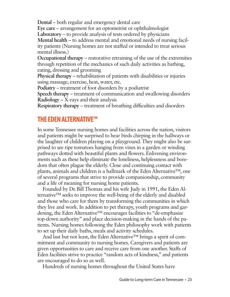**Dental** – both regular and emergency dental care **Eye care** – arrangement for an optometrist or ophthalmologist **Laboratory** – to provide analysis of tests ordered by physicians **Mental health** – to address mental and emotional needs of nursing facility patients (Nursing homes are not staffed or intended to treat serious mental illness.)

**Occupational therapy** – restorative retraining of the use of the extremities through repetition of the mechanics of such daily activities as bathing, eating, dressing and grooming

**Physical therapy** – rehabilitation of patients with disabilities or injuries using massage, exercise, heat, water, etc.

**Podiatry** – treatment of foot disorders by a podiatrist

**Speech therapy** – treatment of communication and swallowing disorders **Radiology** – X-rays and their analysis

**Respiratory therapy** – treatment of breathing difficulties and disorders

### **THE EDEN ALTERNATIVE™**

In some Tennessee nursing homes and facilities across the nation, visitors and patients might be surprised to hear birds chirping in the hallways or the laughter of children playing on a playground. They might also be surprised to see ripe tomatoes hanging from vines in a garden or winding pathways dotted with beautiful plants and flowers. Enlivening environments such as these help eliminate the loneliness, helplessness and boredom that often plague the elderly. Close and continuing contact with plants, animals and children is a hallmark of the Eden Alternative™, one of several programs that strive to provide companionship, community and a life of meaning for nursing home patients.

Founded by Dr. Bill Thomas and his wife Judy in 1991, the Eden Alternative™ seeks to improve the well-being of the elderly and disabled and those who care for them by transforming the communities in which they live and work. In addition to pet therapy, youth programs and gardening, the Eden Alternative™ encourages facilities to "de-emphasize top-down authority" and place decision-making in the hands of the patients. Nursing homes following the Eden philosophy work with patients to set up their daily baths, meals and activity schedules.

And last but not least, the Eden Alternative<sup> $TM$ </sup> brings a spirit of commitment and community to nursing homes. Caregivers and patients are given opportunities to care and receive care from one another. Staffs of Eden facilities strive to practice "random acts of kindness," and patients are encouraged to do so as well.

Hundreds of nursing homes throughout the United States have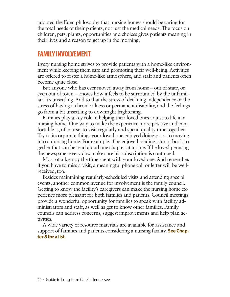adopted the Eden philosophy that nursing homes should be caring for the total needs of their patients, not just the medical needs. The focus on children, pets, plants, opportunities and choices gives patients meaning in their lives and a reason to get up in the morning.

### **FAMILY INVOLVEMENT**

Every nursing home strives to provide patients with a home-like environment while keeping them safe and promoting their well-being. Activities are offered to foster a home-like atmosphere, and staff and patients often become quite close.

But anyone who has ever moved away from home – out of state, or even out of town – knows how it feels to be surrounded by the unfamiliar. It's unsettling. Add to that the stress of declining independence or the stress of having a chronic illness or permanent disability, and the feelings go from a bit unsettling to downright frightening.

Families play a key role in helping their loved ones adjust to life in a nursing home. One way to make the experience more positive and comfortable is, of course, to visit regularly and spend quality time together. Try to incorporate things your loved one enjoyed doing prior to moving into a nursing home. For example, if he enjoyed reading, start a book together that can be read aloud one chapter at a time. If he loved perusing the newspaper every day, make sure his subscription is continued.

Most of all, enjoy the time spent with your loved one. And remember, if you have to miss a visit, a meaningful phone call or letter will be wellreceived, too.

Besides maintaining regularly-scheduled visits and attending special events, another common avenue for involvement is the family council. Getting to know the facility's caregivers can make the nursing home experience more pleasant for both families and patients. Council meetings provide a wonderful opportunity for families to speak with facility administrators and staff, as well as get to know other families. Family councils can address concerns, suggest improvements and help plan activities.

A wide variety of resource materials are available for assistance and support of families and patients considering a nursing facility. **See Chapter 8 for a list.**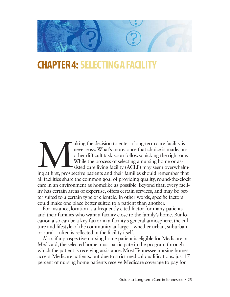

## **CHAPTER 4: SELECTING A FACILIT**

aking the decision to enter a long-term care facility is<br>never easy. What's more, once that choice is made, an-<br>other difficult task soon follows: picking the right one.<br>While the process of selecting a nursing home or asnever easy. What's more, once that choice is made, another difficult task soon follows: picking the right one. While the process of selecting a nursing home or assisted care living facility (ACLF) may seem overwhelmall facilities share the common goal of providing quality, round-the-clock care in an environment as homelike as possible. Beyond that, every facility has certain areas of expertise, offers certain services, and may be better suited to a certain type of clientele. In other words, specific factors could make one place better suited to a patient than another.

For instance, location is a frequently cited factor for many patients and their families who want a facility close to the family's home. But location also can be a key factor in a facility's general atmosphere; the culture and lifestyle of the community at-large – whether urban, suburban or rural – often is reflected in the facility itself.

Also, if a prospective nursing home patient is eligible for Medicare or Medicaid, the selected home must participate in the program through which the patient is receiving assistance. Most Tennessee nursing homes accept Medicare patients, but due to strict medical qualifications, just 17 percent of nursing home patients receive Medicare coverage to pay for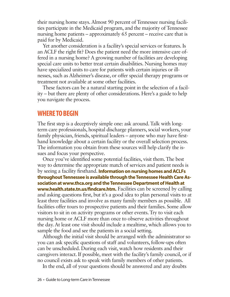their nursing home stays. Almost 90 percent of Tennessee nursing facilities participate in the Medicaid program, and the majority of Tennessee nursing home patients – approximately 65 percent – receive care that is paid for by Medicaid.

Yet another consideration is a facility's special services or features. Is an ACLF the right fit? Does the patient need the more intensive care offered in a nursing home? A growing number of facilities are developing special care units to better treat certain disabilities. Nursing homes may have specialized units to care for patients with certain injuries or illnesses, such as Alzheimer's disease, or offer special therapy programs or treatment not available at some other facilities.

These factors can be a natural starting point in the selection of a facility – but there are plenty of other considerations. Here's a guide to help you navigate the process.

### **WHERE TO BEGIN**

The first step is a deceptively simple one: ask around. Talk with longterm care professionals, hospital discharge planners, social workers, your family physician, friends, spiritual leaders – anyone who may have firsthand knowledge about a certain facility or the overall selection process. The information you obtain from these sources will help clarify the issues and focus your perspective.

Once you've identified some potential facilities, visit them. The best way to determine the appropriate match of services and patient needs is by seeing a facility firsthand. **Information on nursing homes and ACLFs throughout Tennessee is available through the Tennessee Health Care Association at www.thca.org and the Tennessee Department of Health at www.health.state.tn.us/findcare.htm.** Facilities can be screened by calling and asking questions first, but it's a good idea to plan personal visits to at least three facilities and involve as many family members as possible. All facilities offer tours to prospective patients and their families. Some allow visitors to sit in on activity programs or other events. Try to visit each nursing home or ACLF more than once to observe activities throughout the day. At least one visit should include a mealtime, which allows you to sample the food and see the patients in a social setting.

Although the initial visit should be arranged with the administrator so you can ask specific questions of staff and volunteers, follow-ups often can be unscheduled. During each visit, watch how residents and their caregivers interact. If possible, meet with the facility's family council, or if no council exists ask to speak with family members of other patients.

In the end, all of your questions should be answered and any doubts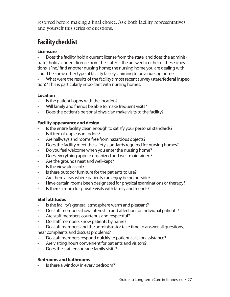resolved before making a final choice. Ask both facility representatives and yourself this series of questions.

### **Facility checklist**

### **Licensure**

• Does the facility hold a current license from the state, and does the administrator hold a current license from the state? If the answer to either of these questions is "no," find another nursing home; the nursing home you are dealing with could be some other type of facility falsely claiming to be a nursing home.

• What were the results of the facility's most recent survey (state/federal inspection)? This is particularly important with nursing homes.

### **Location**

- Is the patient happy with the location?
- Will family and friends be able to make frequent visits?
- Does the patient's personal physician make visits to the facility?

### **Facility appearance and design**

- Is the entire facility clean enough to satisfy your personal standards?
- Is it free of unpleasant odors?
- Are hallways and rooms free from hazardous objects?
- Does the facility meet the safety standards required for nursing homes?
- Do you feel welcome when you enter the nursing home?
- Does everything appear organized and well-maintained?
- Are the grounds neat and well-kept?
- Is the view pleasant?
- Is there outdoor furniture for the patients to use?
- Are there areas where patients can enjoy being outside?
- Have certain rooms been designated for physical examinations or therapy?
- Is there a room for private visits with family and friends?

### **Staff attitudes**

- Is the facility's general atmosphere warm and pleasant?
- Do staff members show interest in and affection for individual patients?
- Are staff members courteous and respectful?
- Do staff members know patients by name?
- Do staff members and the administrator take time to answer all questions, hear complaints and discuss problems?
- Do staff members respond quickly to patient calls for assistance?
- Are visiting hours convenient for patients and visitors?
- Does the staff encourage family visits?

### **Bedrooms and bathrooms**

Is there a window in every bedroom?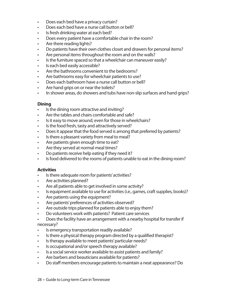- Does each bed have a privacy curtain?
- Does each bed have a nurse call button or bell?
- Is fresh drinking water at each bed?
- Does every patient have a comfortable chair in the room?
- Are there reading lights?
- Do patients have their own clothes closet and drawers for personal items?
- Are personal items throughout the room and on the walls?
- Is the furniture spaced so that a wheelchair can maneuver easily?
- Is each bed easily accessible?
- Are the bathrooms convenient to the bedrooms?
- Are bathrooms easy for wheelchair patients to use?
- Does each bathroom have a nurse call button or bell?
- Are hand grips on or near the toilets?
- In shower areas, do showers and tubs have non-slip surfaces and hand grips?

### **Dining**

- Is the dining room attractive and inviting?
- Are the tables and chairs comfortable and safe?
- Is it easy to move around, even for those in wheelchairs?
- Is the food fresh, tasty and attractively served?
- Does it appear that the food served is among that preferred by patients?
- Is there a pleasant variety from meal to meal?
- Are patients given enough time to eat?
- Are they served at normal meal times?
- Do patients receive help eating if they need it?
- Is food delivered to the rooms of patients unable to eat in the dining room?

### **Activities**

- Is there adequate room for patients' activities?
- Are activities planned?
- Are all patients able to get involved in some activity?
- Is equipment available to use for activities (i.e., games, craft supplies, books)?
- Are patients using the equipment?
- Are patients' preferences of activities observed?
- Are outside trips planned for patients able to enjoy them?
- Do volunteers work with patients? Patient care services
- Does the facility have an arrangement with a nearby hospital for transfer if necessary?
- Is emergency transportation readily available?
- Is there a physical therapy program directed by a qualified therapist?
- Is therapy available to meet patients' particular needs?
- Is occupational and/or speech therapy available?
- Is a social service worker available to assist patients and family?
- Are barbers and beauticians available for patients?
- Do staff members encourage patients to maintain a neat appearance? Do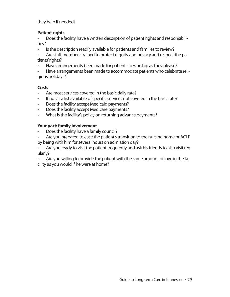they help if needed?

### **Patient rights**

• Does the facility have a written description of patient rights and responsibilities?

- Is the description readily available for patients and families to review?
- Are staff members trained to protect dignity and privacy and respect the patients' rights?
- Have arrangements been made for patients to worship as they please?
- Have arrangements been made to accommodate patients who celebrate religious holidays?

### **Costs**

- Are most services covered in the basic daily rate?
- If not, is a list available of specific services not covered in the basic rate?
- Does the facility accept Medicaid payments?
- Does the facility accept Medicare payments?
- What is the facility's policy on returning advance payments?

### **Your part: family involvement**

- Does the facility have a family council?
- Are you prepared to ease the patient's transition to the nursing home or ACLF by being with him for several hours on admission day?

• Are you ready to visit the patient frequently and ask his friends to also visit regularly?

• Are you willing to provide the patient with the same amount of love in the facility as you would if he were at home?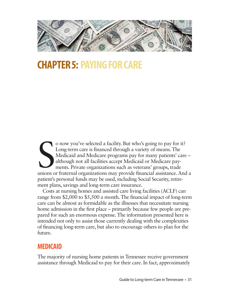

## **CHAPTER 5: PAYING FOR CARE**

O now you've selected a facility. But who's going to pay for it?<br>
Long-term care is financed through a variety of means. The<br>
Medicaid and Medicare programs pay for many patients' care –<br>
although not all facilities accept o now you've selected a facility. But who's going to pay for it? Long-term care is financed through a variety of means. The Medicaid and Medicare programs pay for many patients' care – although not all facilities accept Medicaid or Medicare payments. Private organizations such as veterans' groups, trade patient's personal funds may be used, including Social Security, retirement plans, savings and long-term care insurance.

Costs at nursing homes and assisted care living facilities (ACLF) can range from \$2,000 to \$5,500 a month. The financial impact of long-term care can be almost as formidable as the illnesses that necessitate nursing home admission in the first place – primarily because few people are prepared for such an enormous expense. The information presented here is intended not only to assist those currently dealing with the complexities of financing long-term care, but also to encourage others to plan for the future.

### **MEDICAID**

The majority of nursing home patients in Tennessee receive government assistance through Medicaid to pay for their care. In fact, approximately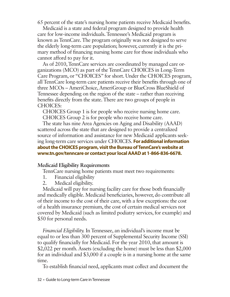65 percent of the state's nursing home patients receive Medicaid benefits.

Medicaid is a state and federal program designed to provide health care for low-income individuals. Tennessee's Medicaid program is known as TennCare. The program originally was not designed to serve the elderly long-term care population; however, currently it is the primary method of financing nursing home care for those individuals who cannot afford to pay for it.

As of 2010, TennCare services are coordinated by managed care organizations (MCO) as part of the TennCare CHOICES in Long-Term Care Program, or "CHOICES" for short. Under the CHOICES program, all TennCare long-term care patients receive their benefits through one of three MCOs – AmeriChoice, AmeriGroup or BlueCross BlueShield of Tennessee depending on the region of the state – rather than receiving benefits directly from the state. There are two groups of people in CHOICES:

CHOICES Group 1 is for people who receive nursing home care. CHOICES Group 2 is for people who receive home care.

The state has nine Area Agencies on Aging and Disability (AAAD) scattered across the state that are designed to provide a centralized source of information and assistance for new Medicaid applicants seeking long-term care services under CHOICES. **For additional information about the CHOICES program, visit the Bureau of TennCare's website at www.tn.gov/tenncare or contact your local AAAD at 1-866-836-6678.**

### **Medicaid Eligibility Requirements**

TennCare nursing home patients must meet two requirements:

- 1. Financial eligibility
- 2. Medical eligibility.

Medicaid will pay for nursing facility care for those both financially and medically eligible. Medicaid beneficiaries, however, do contribute all of their income to the cost of their care, with a few exceptions: the cost of a health insurance premium, the cost of certain medical services not covered by Medicaid (such as limited podiatry services, for example) and \$50 for personal needs.

*Financial Eligibility.* In Tennessee, an individual's income must be equal to or less than 300 percent of Supplemental Security Income (SSI) to qualify financially for Medicaid. For the year 2010, that amount is \$2,022 per month. Assets (excluding the home) must be less than \$2,000 for an individual and \$3,000 if a couple is in a nursing home at the same time.

To establish financial need, applicants must collect and document the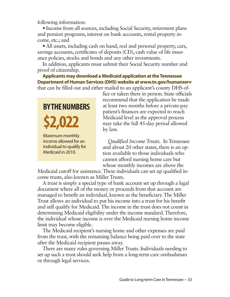following information:

• Income from all sources, including Social Security, retirement plans and pension programs, interest on bank accounts, rental property income, etc.; and

• All assets, including cash on hand, real and personal property, cars, savings accounts, certificates of deposits (CD), cash value of life insurance policies, stocks and bonds and any other investments.

In addition, applicants must submit their Social Security number and proof of citizenship.

**Applicants may download a Medicaid application at the Tennessee Department of Human Services (DHS) website at www.tn.gov/humanserv** that can be filled out and either mailed to an applicant's county DHS of-

## **BY THE NUMBERS \$2,022** Maximum monthly income allowed for an individual to qualify for

Medicaid in 2010.

fice or taken there in person. State officials recommend that the application be made at least two months before a private-pay patient's finances are expected to reach Medicaid level as the approval process may take the full 45-day period allowed by law.

*Qualified Income Trusts.* In Tennessee and about 20 other states, there is an option available to those individuals who cannot afford nursing home care but whose monthly incomes are above the

Medicaid cutoff for assistance. These individuals can set up qualified income trusts, also known as Miller Trusts.

A trust is simply a special type of bank account set up through a legal document where all of the money or proceeds from that account are managed to benefit an individual, known as the beneficiary. The Miller Trust allows an individual to put his income into a trust for his benefit and still qualify for Medicaid. The income in the trust does not count in determining Medicaid eligibility under the income standard. Therefore, the individual whose income is over the Medicaid nursing home income limit may become eligible.

The Medicaid recipient's nursing home and other expenses are paid from the trust, with the remaining balance being paid over to the state after the Medicaid recipient passes away.

There are many rules governing Miller Trusts. Individuals needing to set up such a trust should seek help from a long-term care ombudsman or through legal services.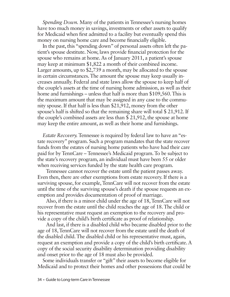*Spending Down.* Many of the patients in Tennessee's nursing homes have too much money in savings, investments or other assets to qualify for Medicaid when first admitted to a facility but eventually spend this money on nursing home care and become financially eligible.

In the past, this "spending down" of personal assets often left the patient's spouse destitute. Now, laws provide financial protection for the spouse who remains at home. As of January 2011, a patient's spouse may keep at minimum \$1,822 a month of their combined income. Larger amounts, up to \$2,739 a month, may be allocated to the spouse in certain circumstances. The amount the spouse may keep usually increases annually. Federal and state laws allow the spouse to keep half of the couple's assets at the time of nursing home admission, as well as their home and furnishings – unless that half is more than \$109,560. This is the maximum amount that may be assigned in any case to the community spouse. If that half is less than \$21,912, money from the other spouse's half is shifted so that the remaining share will total \$ 21,912. If the couple's combined assets are less than \$ 21,912, the spouse at home may keep the entire amount, as well as their home and furnishings.

*Estate Recovery.* Tennessee is required by federal law to have an "estate recovery" program. Such a program mandates that the state recover funds from the estates of nursing home patients who have had their care paid for by TennCare – Tennessee's Medicaid program. To be subject to the state's recovery program, an individual must have been 55 or older when receiving services funded by the state health care program.

Tennessee cannot recover the estate until the patient passes away. Even then, there are other exemptions from estate recovery. If there is a surviving spouse, for example, TennCare will not recover from the estate until the time of the surviving spouse's death if the spouse requests an exemption and provides documentation of proof of marriage.

Also, if there is a minor child under the age of 18, TennCare will not recover from the estate until the child reaches the age of 18. The child or his representative must request an exemption to the recovery and provide a copy of the child's birth certificate as proof of relationship.

And last, if there is a disabled child who became disabled prior to the age of 18, TennCare will not recover from the estate until the death of the disabled child. The disabled child or his representative must, again, request an exemption and provide a copy of the child's birth certificate. A copy of the social security disability determination providing disability and onset prior to the age of 18 must also be provided.

Some individuals transfer or "gift" their assets to become eligible for Medicaid and to protect their homes and other possessions that could be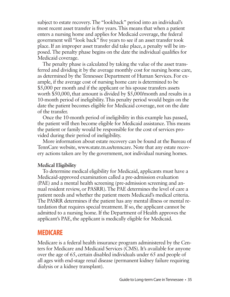subject to estate recovery. The "lookback" period into an individual's most recent asset transfer is five years. This means that when a patient enters a nursing home and applies for Medicaid coverage, the federal government will "look back" five years to see if an asset transfer took place. If an improper asset transfer did take place, a penalty will be imposed. The penalty phase begins on the date the individual qualifies for Medicaid coverage.

The penalty phase is calculated by taking the value of the asset transferred and dividing it by the average monthly cost for nursing home care, as determined by the Tennessee Department of Human Services. For example, if the average cost of nursing home care is determined to be \$5,000 per month and if the applicant or his spouse transfers assets worth \$50,000, that amount is divided by \$5,000/month and results in a 10-month period of ineligibility. This penalty period would begin on the date the patient becomes eligible for Medicaid coverage, not on the date of the transfer.

Once the 10-month period of ineligibility in this example has passed, the patient will then become eligible for Medicaid assistance. This means the patient or family would be responsible for the cost of services provided during their period of ineligibility.

More information about estate recovery can be found at the Bureau of TennCare website, www.state.tn.us/tenncare. Note that any estate recovery actions taken are by the government, not individual nursing homes.

### **Medical Eligibility**

To determine medical eligibility for Medicaid, applicants must have a Medicaid-approved examination called a pre-admission evaluation (PAE) and a mental health screening (pre-admission screening and annual resident review, or PASRR). The PAE determines the level of care a patient needs and whether the patient meets Medicaid's medical criteria. The PASRR determines if the patient has any mental illness or mental retardation that requires special treatment. If so, the applicant cannot be admitted to a nursing home. If the Department of Health approves the applicant's PAE, the applicant is medically eligible for Medicaid.

### **MEDICARE**

Medicare is a federal health insurance program administered by the Centers for Medicare and Medicaid Services (CMS). It's available for anyone over the age of 65, certain disabled individuals under 65 and people of all ages with end-stage renal disease (permanent kidney failure requiring dialysis or a kidney transplant).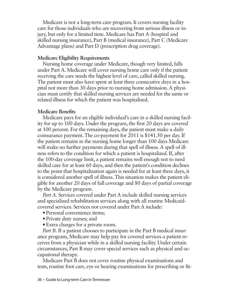Medicare is not a long-term care program. It covers nursing facility care for those individuals who are recovering from serious illness or injury, but only for a limited time. Medicare has Part A (hospital and skilled nursing insurance), Part B (medical insurance), Part C (Medicare Advantage plans) and Part D (prescription drug coverage).

### **Medicare Eligibility Requirements**

Nursing home coverage under Medicare, though very limited, falls under Part A. Medicare will cover nursing home care only if the patient receiving the care needs the highest level of care, called skilled nursing. The patient must also have spent at least three consecutive days in a hospital not more than 30 days prior to nursing home admission. A physician must certify that skilled nursing services are needed for the same or related illness for which the patient was hospitalized.

### **Medicare Benefits**

Medicare pays for an eligible individual's care in a skilled nursing facility for up to 100 days. Under the program, the first 20 days are covered at 100 percent. For the remaining days, the patient must make a daily coinsurance payment. The co-payment for 2011 is \$141.50 per day. If the patient remains in the nursing home longer than 100 days Medicare will make no further payments during that spell of illness. A spell of illness refers to the condition for which a patient is hospitalized. If, after the 100-day coverage limit, a patient remains well enough not to need skilled care for at least 60 days, and then the patient's condition declines to the point that hospitalization again is needed for at least three days, it is considered another spell of illness. This situation makes the patient eligible for another 20 days of full coverage and 80 days of partial coverage by the Medicare program.

*Part A.* Services covered under Part A include skilled nursing services and specialized rehabilitation services along with all routine Medicaidcovered services. Services not covered under Part A include:

- Personal convenience items:
- Private duty nurses; and
- Extra charges for a private room.

*Part B.* If a patient chooses to participate in the Part B medical insurance program, Medicare may help pay for covered services a patient receives from a physician while in a skilled nursing facility. Under certain circumstances, Part B may cover special services such as physical and occupational therapy.

Medicare Part B does not cover routine physical examinations and tests, routine foot care, eye or hearing examinations for prescribing or fit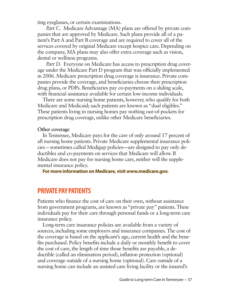ting eyeglasses, or certain examinations.

*Part C.* Medicare Advantage (MA) plans are offered by private companies that are approved by Medicare. Such plans provide all of a patient's Part A and Part B coverage and are required to cover all of the services covered by original Medicare except hospice care. Depending on the company, MA plans may also offer extra coverage such as vision, dental or wellness programs.

*Part D.* Everyone on Medicare has access to prescription drug coverage under the Medicare Part D program that was officially implemented in 2006. Medicare prescription drug coverage is insurance. Private companies provide the coverage, and beneficiaries choose their prescription drug plans, or PDPs. Beneficiaries pay co-payments on a sliding scale, with financial assistance available for certain low-income individuals.

There are some nursing home patients, however, who qualify for both Medicare and Medicaid; such patients are known as "dual eligibles." These patients living in nursing homes pay nothing out-of-pockets for prescription drug coverage, unlike other Medicare beneficiaries.

### **Other coverage**

In Tennessee, Medicare pays for the care of only around 17 percent of all nursing home patients. Private Medicare supplemental insurance policies – sometimes called Medigap policies—are designed to pay only deductibles and co-payments on services that Medicare will allow. If Medicare does not pay for nursing home care, neither will the supplemental insurance policy.

**For more information on Medicare, visit www.medicare.gov.**

### **PRIVATE PAY PATIENTS**

Patients who finance the cost of care on their own, without assistance from government programs, are known as "private pay" patients. These individuals pay for their care through personal funds or a long-term care insurance policy.

Long-term care insurance policies are available from a variety of sources, including some employers and insurance companies. The cost of the coverage is based on the applicant's age, current health and the benefits purchased. Policy benefits include a daily or monthly benefit to cover the cost of care, the length of time those benefits are payable, a deductible (called an elimination period), inflation protection (optional) and coverage outside of a nursing home (optional). Care outside of a nursing home can include an assisted care living facility or the insured's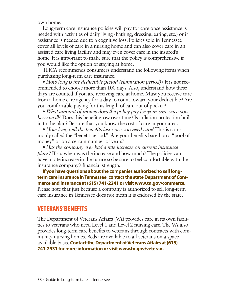own home.

Long-term care insurance policies will pay for care once assistance is needed with activities of daily living (bathing, dressing, eating, etc.) or if assistance is needed due to a cognitive loss. Policies sold in Tennessee cover all levels of care in a nursing home and can also cover care in an assisted care living facility and may even cover care in the insured's home. It is important to make sure that the policy is comprehensive if you would like the option of staying at home.

THCA recommends consumers understand the following items when purchasing long-term care insurance:

• *How long is the deductible period (elimination period)?* It is not recommended to choose more than 100 days. Also, understand how these days are counted if you are receiving care at home. Must you receive care from a home care agency for a day to count toward your deductible? Are you comfortable paying for this length of care out of pocket?

•*What amount of money does the policy pay for your care once you become ill?* Does this benefit grow over time? Is inflation protection built in to the plan? Be sure that you know the cost of care in your area.

• *How long will the benefits last once you need care?* This is commonly called the "benefit period." Are your benefits based on a "pool of money" or on a certain number of years?

• *Has the company ever had a rate increase on current insurance plans?* If so, when was the increase and how much? The policies can have a rate increase in the future so be sure to feel comfortable with the insurance company's financial strength.

**If you have questions about the companies authorized to sell longterm care insurance in Tennessee, contact the state Department of Commerce and Insurance at (615) 741-2241 or visit www.tn.gov/commerce.** Please note that just because a company is authorized to sell long-term care insurance in Tennessee does not mean it is endorsed by the state.

### **VETERANS' BENEFITS**

The Department of Veterans Affairs (VA) provides care in its own facilities to veterans who need Level 1 and Level 2 nursing care. The VA also provides long-term care benefits to veterans through contracts with community nursing homes. Beds are available to all veterans on a spaceavailable basis. **Contact the Department of Veterans Affairs at (615) 741-2931 for more information or visit www.tn.gov/veteran.**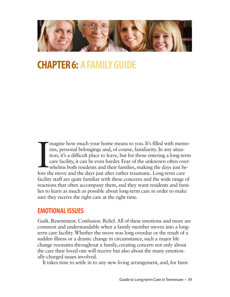

## **CHAPTER 6: A FAMILY GUIDE**

Imagine how much your home means to you. It's filled with mem<br>ries, personal belongings and, of course, familiarity. In any situa-<br>tion, it's a difficult place to leave, but for those entering a long-ter<br>care facility, it magine how much your home means to you. It's filled with memories, personal belongings and, of course, familiarity. In any situation, it's a difficult place to leave, but for those entering a long-term care facility, it can be even harder. Fear of the unknown often overwhelms both residents and their families, making the days just befacility staff are quite familiar with these concerns and the wide range of reactions that often accompany them, and they want residents and families to learn as much as possible about long-term care in order to make sure they receive the right care at the right time.

### **EMOTIONAL ISSUES**

Guilt. Resentment. Confusion. Relief. All of these emotions and more are common and understandable when a family member moves into a longterm care facility. Whether the move was long overdue or the result of a sudden illness or a drastic change in circumstance, such a major life change resonates throughout a family, creating concern not only about the care their loved one will receive but also about the many emotionally-charged issues involved.

It takes time to settle in to any new living arrangement, and, for fami-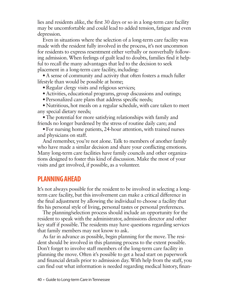lies and residents alike, the first 30 days or so in a long-term care facility may be uncomfortable and could lead to added tension, fatigue and even depression.

Even in situations where the selection of a long-term care facility was made with the resident fully involved in the process, it's not uncommon for residents to express resentment either verbally or nonverbally following admission. When feelings of guilt lead to doubts, families find it helpful to recall the many advantages that led to the decision to seek placement in a long-term care facility, including:

• A sense of community and activity that often fosters a much fuller lifestyle than would be possible at home;

• Regular clergy visits and religious services;

- Activities, educational programs, group discussions and outings;
- Personalized care plans that address specific needs;

• Nutritious, hot meals on a regular schedule, with care taken to meet any special dietary needs;

• The potential for more satisfying relationships with family and friends no longer burdened by the stress of routine daily care; and

• For nursing home patients, 24-hour attention, with trained nurses and physicians on staff.

And remember, you're not alone. Talk to members of another family who have made a similar decision and share your conflicting emotions. Many long-term care facilities have family councils and other organizations designed to foster this kind of discussion. Make the most of your visits and get involved, if possible, as a volunteer.

### **PLANNING AHEAD**

It's not always possible for the resident to be involved in selecting a longterm care facility, but this involvement can make a critical difference in the final adjustment by allowing the individual to choose a facility that fits his personal style of living, personal tastes or personal preferences.

The planning/selection process should include an opportunity for the resident to speak with the administrator, admissions director and other key staff if possible. The residents may have questions regarding services that family members may not know to ask.

As far in advance as possible, begin planning for the move. The resident should be involved in this planning process to the extent possible. Don't forget to involve staff members of the long-term care facility in planning the move. Often it's possible to get a head start on paperwork and financial details prior to admission day. With help from the staff, you can find out what information is needed regarding medical history, finan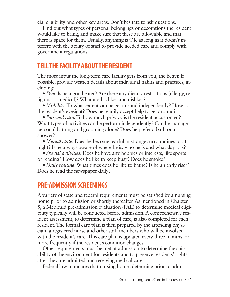cial eligibility and other key areas. Don't hesitate to ask questions.

Find out what types of personal belongings or decorations the resident would like to bring, and make sure that these are allowable and that there is space for them. Usually, anything is OK as long as it doesn't interfere with the ability of staff to provide needed care and comply with government regulations.

### **TELL THE FACILITY ABOUT THE RESIDENT**

The more input the long-term care facility gets from you, the better. If possible, provide written details about individual habits and practices, including:

• *Diet*. Is he a good eater? Are there any dietary restrictions (allergy, religious or medical)? What are his likes and dislikes?

• *Mobility*. To what extent can he get around independently? How is the resident's eyesight? Does he readily accept help to get around?

• *Personal care*. To how much privacy is the resident accustomed? What types of activities can he perform independently? Can he manage personal bathing and grooming alone? Does he prefer a bath or a shower?

•*Mental state*. Does he become fearful in strange surroundings or at night? Is he always aware of where he is, who he is and what day it is?

• *Special activities*. Does he have any hobbies or interests, like sports or reading? How does he like to keep busy? Does he smoke?

• *Daily routine*. What times does he like to bathe? Is he an early riser? Does he read the newspaper daily?

### **PRE-ADMISSION SCREENINGS**

A variety of state and federal requirements must be satisfied by a nursing home prior to admission or shortly thereafter. As mentioned in Chapter 5, a Medicaid pre-admission evaluation (PAE) to determine medical eligibility typically will be conducted before admission. A comprehensive resident assessment, to determine a plan of care, is also completed for each resident. The formal care plan is then prepared by the attending physician, a registered nurse and other staff members who will be involved with the resident's care. This care plan is updated every three months, or more frequently if the resident's condition changes.

Other requirements must be met at admission to determine the suitability of the environment for residents and to preserve residents' rights after they are admitted and receiving medical care.

Federal law mandates that nursing homes determine prior to admis-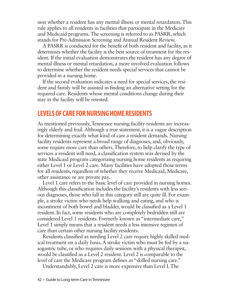sion whether a resident has any mental illness or mental retardation. This rule applies to all residents in facilities that participate in the Medicare and Medicaid programs. The screening is referred to as PASRR, which stands for Pre-Admission Screening and Annual Resident Review.

A PASRR is conducted for the benefit of both resident and facility, as it determines whether the facility is the best source of treatment for the resident. If the initial evaluation demonstrates the resident has any degree of mental illness or mental retardation, a more involved evaluation follows to determine whether the resident needs special services that cannot be provided in a nursing home.

If the second evaluation indicates a need for special services, the resident and family will be assisted in finding an alternative setting for the required care. Residents whose mental conditions change during their stay in the facility will be retested.

### **LEVELS OF CARE FOR NURSING HOME RESIDENTS**

As mentioned previously, Tennessee nursing facility residents are increasingly elderly and frail. Although a true statement, it is a vague description for determining exactly what kind of care a resident demands. Nursing facility residents represent a broad range of diagnoses, and, obviously, some require more care than others. Therefore, to help clarify the type of services a resident will need, a classification system was devised by the state Medicaid program categorizing nursing home residents as requiring either Level 1 or Level 2 care. Many facilities have adopted those terms for all residents, regardless of whether they receive Medicaid, Medicare, other assistance or are private pay.

Level 1 care refers to the basic level of care provided in nursing homes. Although this classification includes the facility's residents with less serious diagnoses, those who fall in this category still are quite ill. For example, a stroke victim who needs help walking and eating, and who is incontinent of both bowel and bladder, would be classified as a Level 1 resident. In fact, some residents who are completely bedridden still are considered Level 1 residents. Formerly known as "intermediate care," Level 1 simply means that a resident needs a less intensive regimen of care than certain other nursing facility residents.

Residents classified as needing Level 2 care require highly skilled medical treatment on a daily basis. A stroke victim who must be fed by a nasogastric tube, or who requires daily sessions with a physical therapist, would be classified as a Level 2 resident. Level 2 is comparable to the level of care the Medicare program defines as "skilled nursing care."

Understandably, Level 2 care is more expensive than Level I. The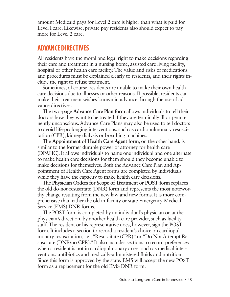amount Medicaid pays for Level 2 care is higher than what is paid for Level I care. Likewise, private pay residents also should expect to pay more for Level 2 care.

### **ADVANCE DIRECTIVES**

All residents have the moral and legal right to make decisions regarding their care and treatment in a nursing home, assisted care living facility, hospital or other health care facility. The value and risks of medications and procedures must be explained clearly to residents, and their rights include the right to refuse treatment.

Sometimes, of course, residents are unable to make their own health care decisions due to illnesses or other reasons. If possible, residents can make their treatment wishes known in advance through the use of advance directives.

The two-page **Advance Care Plan form** allows individuals to tell their doctors how they want to be treated if they are terminally ill or permanently unconscious. Advance Care Plans may also be used to tell doctors to avoid life-prolonging interventions, such as cardiopulmonary resuscitation (CPR), kidney dialysis or breathing machines.

The **Appointment of Health Care Agent form**, on the other hand, is similar to the former durable power of attorney for health care (DPAHC). It allows individuals to name one individual and one alternate to make health care decisions for them should they become unable to make decisions for themselves. Both the Advance Care Plan and Appointment of Health Care Agent forms are completed by individuals while they have the capacity to make health care decisions.

The **Physician Orders for Scope of Treatment or POST form** replaces the old do-not-resuscitate (DNR) form and represents the most noteworthy change resulting from the new law and new forms. It is more comprehensive than either the old in-facility or state Emergency Medical Service (EMS) DNR forms.

The POST form is completed by an individual's physician or, at the physician's direction, by another health care provider, such as facility staff. The resident or his representative does, however, sign the POST form. It includes a section to record a resident's choice on cardiopulmonary resuscitation, i.e., "Resuscitate (CPR)" or "Do Not Attempt Resuscitate (DNR/no CPR)." It also includes sections to record preferences when a resident is not in cardiopulmonary arrest such as medical interventions, antibiotics and medically-administered fluids and nutrition. Since this form is approved by the state, EMS will accept the new POST form as a replacement for the old EMS DNR form.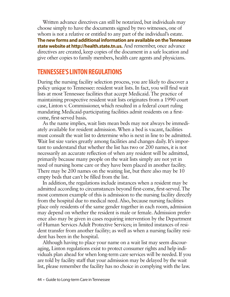Written advance directives can still be notarized, but individuals may choose simply to have the documents signed by two witnesses, one of whom is not a relative or entitled to any part of the individual's estate. **The new forms and additional information are available on the Tennessee state website at http://health.state.tn.us.** And remember, once advance directives are created, keep copies of the document in a safe location and give other copies to family members, health care agents and physicians.

### **TENNESSEE'S LINTON REGULATIONS**

During the nursing facility selection process, you are likely to discover a policy unique to Tennessee: resident wait lists. In fact, you will find wait lists at most Tennessee facilities that accept Medicaid. The practice of maintaining prospective resident wait lists originates from a 1990 court case, Linton v. Commissioner, which resulted in a federal court ruling mandating Medicaid-participating facilities admit residents on a firstcome, first-served basis.

As the name implies, wait lists mean beds may not always be immediately available for resident admission. When a bed is vacant, facilities must consult the wait list to determine who is next in line to be admitted. Wait list size varies greatly among facilities and changes daily. It's important to understand that whether the list has two or 200 names, it is not necessarily an accurate reflection of when any resident will be admitted, primarily because many people on the wait lists simply are not yet in need of nursing home care or they have been placed in another facility. There may be 200 names on the waiting list, but there also may be 10 empty beds that can't be filled from the list.

In addition, the regulations include instances when a resident may be admitted according to circumstances beyond first-come, first-served. The most common example of this is admission to the nursing facility directly from the hospital due to medical need. Also, because nursing facilities place only residents of the same gender together in each room, admission may depend on whether the resident is male or female. Admission preference also may be given in cases requiring intervention by the Department of Human Services Adult Protective Services; in limited instances of resident transfer from another facility; as well as when a nursing facility resident has been in the hospital.

Although having to place your name on a wait list may seem discouraging, Linton regulations exist to protect consumer rights and help individuals plan ahead for when long-term care services will be needed. If you are told by facility staff that your admission may be delayed by the wait list, please remember the facility has no choice in complying with the law.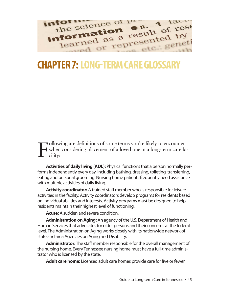

## **CHAPTER 7: LONG-TERM CARE GLOSSARY**

F ollowing are definitions of some terms you're likely to encounter when considering placement of a loved one in a long-term care facility:

**Activities of daily living (ADL):** Physical functions that a person normally performs independently every day, including bathing, dressing, toileting, transferring, eating and personal grooming. Nursing home patients frequently need assistance with multiple activities of daily living.

**Activity coordinator:** A trained staff member who is responsible for leisure activities in the facility. Activity coordinators develop programs for residents based on individual abilities and interests. Activity programs must be designed to help residents maintain their highest level of functioning.

**Acute:** A sudden and severe condition.

**Administration on Aging:** An agency of the U.S. Department of Health and Human Services that advocates for older persons and their concerns at the federal level. The Administration on Aging works closely with its nationwide network of state and area Agencies on Aging and Disability.

**Administrator:**The staff member responsible for the overall management of the nursing home. Every Tennessee nursing home must have a full-time administrator who is licensed by the state.

**Adult care home:** Licensed adult care homes provide care for five or fewer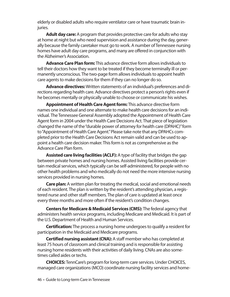elderly or disabled adults who require ventilator care or have traumatic brain injuries.

**Adult day care:**A program that provides protective care for adults who stay at home at night but who need supervision and assistance during the day, generally because the family caretaker must go to work. A number of Tennessee nursing homes have adult day care programs, and many are offered in conjunction with the Alzheimer's Association.

**Advance Care Plan form:**This advance directive form allows individuals to tell their doctors how they want to be treated if they become terminally ill or permanently unconscious. The two-page form allows individuals to appoint health care agents to make decisions for them if they can no longer do so.

**Advance directives:**Written statements of an individual's preferences and directions regarding health care. Advance directives protect a person's rights even if he becomes mentally or physically unable to choose or communicate his wishes.

**Appointment of Health Care Agent form:** This advance directive form names one individual and one alternate to make health care decisions for an individual. The Tennessee General Assembly adopted the Appointment of Health Care Agent form in 2004 under the Health Care Decisions Act. That piece of legislation changed the name of the "durable power of attorney for health care (DPAHC)" form to "Appointment of Health Care Agent." Please take note that any DPAHCs completed prior to the Health Care Decisions Act remain valid and can be used to appoint a health care decision maker. This form is not as comprehensive as the Advance Care Plan form.

**Assisted care living facilities (ACLF):** A type of facility that bridges the gap between private homes and nursing homes. Assisted living facilities provide certain medical services, which typically can be self-administered, for people with no other health problems and who medically do not need the more intensive nursing services provided in nursing homes.

**Care plan:** A written plan for treating the medical, social and emotional needs of each resident. The plan is written by the resident's attending physician, a registered nurse and other staff members. The plan of care is updated at least once every three months and more often if the resident's condition changes.

**Centers for Medicare & Medicaid Services (CMS):** The federal agency that administers health service programs, including Medicare and Medicaid. It is part of the U.S. Department of Health and Human Services.

**Certification:**The process a nursing home undergoes to qualify a resident for participation in the Medicaid and Medicare programs.

**Certified nursing assistant (CNA):** A staff member who has completed at least 75 hours of classroom and clinical training and is responsible for assisting nursing home residents with their activities of daily living. CNAs are also sometimes called aides or techs.

**CHOICES:** TennCare's program for long-term care services. Under CHOICES, managed care organizations (MCO) coordinate nursing facility services and home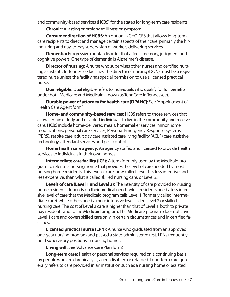and community-based services (HCBS) for the state's for long-term care residents.

**Chronic:** A lasting or prolonged illness or symptom.

**Consumer direction of HCBS:** An option in CHOICES that allows long-term care recipients to direct and manage certain aspects of their care, primarily the hiring, firing and day-to-day supervision of workers delivering services.

**Dementia:** Progressive mental disorder that affects memory, judgment and cognitive powers. One type of dementia is Alzheimer's disease.

**Director of nursing:** A nurse who supervises other nurses and certified nursing assistants. In Tennessee facilities, the director of nursing (DON) must be a registered nurse unless the facility has special permission to use a licensed practical nurse.

**Dual eligible:** Dual eligible refers to individuals who qualify for full benefits under both Medicare and Medicaid (known as TennCare in Tennessee).

**Durable power of attorney for health care (DPAHC):** See "Appointment of Health Care Agent form."

**Home- and community-based services:** HCBS refers to those services that allow certain elderly and disabled individuals to live in the community and receive care. HCBS include home-delivered meals, homemaker services, minor home modifications, personal care services, Personal Emergency Response Systems (PERS), respite care, adult day care, assisted care living facility (ACLF) care, assistive technology, attendant services and pest control.

**Home health care agency:** An agency staffed and licensed to provide health services to individuals in their own homes.

**Intermediate care facility (ICF):** A term formerly used by the Medicaid program to refer to a nursing home that provides the level of care needed by most nursing home residents. This level of care, now called Level 1, is less intensive and less expensive, than what is called skilled nursing care, or Level 2.

**Levels of care (Level 1 and Level 2):**The intensity of care provided to nursing home residents depends on their medical needs. Most residents need a less intensive level of care that the Medicaid program calls Level 1 (formerly called intermediate care), while others need a more intensive level called Level 2 or skilled nursing care. The cost of Level 2 care is higher than that of Level 1, both to private pay residents and to the Medicaid program. The Medicare program does not cover Level 1 care and covers skilled care only in certain circumstances and in certified facilities.

**Licensed practical nurse (LPN):** A nurse who graduated from an approved one-year nursing program and passed a state-administered test. LPNs frequently hold supervisory positions in nursing homes.

**Living will:** See "Advance Care Plan form."

**Long-term care:** Health or personal services required on a continuing basis by people who are chronically ill, aged, disabled or retarded. Long-term care generally refers to care provided in an institution such as a nursing home or assisted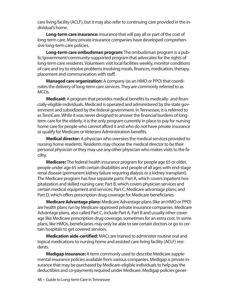care living facility (ACLF), but it may also refer to continuing care provided in the individual's home.

**Long-term care insurance:** Insurance that will pay all or part of the cost of long-term care. Many private insurance companies have developed comprehensive long-term care policies.

**Long-term care ombudsman program:**The ombudsman program is a public/government/community-supported program that advocates for the rights of long-term care residents. Volunteers visit local facilities weekly, monitor conditions of care and try to resolve problems involving meals, finances, medication, therapy, placement and communication with staff.

**Managed care organization:** A company (as an HMO or PPO) that coordinates the delivery of long-term care services. They are commonly referred to as MCOs.

**Medicaid:** A program that provides medical benefits to medically- and financially-eligible individuals. Medicaid is operated and administered by the state government and subsidized by the federal government. In Tennessee, it is referred to as TennCare. While it was never designed to answer the financial burdens of longterm care for the elderly, it is the only program currently in place to pay for nursing home care for people who cannot afford it and who do not have private insurance or qualify for Medicare or Veterans Administration benefits.

**Medical director:** A physician who oversees the medical services provided to nursing home residents. Residents may choose the medical director to be their personal physician or they may use any other physician who makes visits to the facility.

**Medicare:** The federal health insurance program for people age 65 or older, people under age 65 with certain disabilities and people of all ages with end-stage renal disease (permanent kidney failure requiring dialysis or a kidney transplant). The Medicare program has four separate parts: Part A, which covers inpatient hospitalization and skilled nursing care; Part B, which covers physician services and certain medical equipment and services; Part C, Medicare advantage plans; and Part D, which offers prescription drug coverage for Medicare beneficiaries.

**Medicare Advantage plans:** Medicare Advantage plans (like an HMO or PPO) are health plans run by Medicare-approved private insurance companies. Medicare Advantage plans, also called Part C, include Part A, Part B and usually other coverage like Medicare prescription drug coverage, sometimes for an extra cost. In some plans, like HMOs, beneficiaries may only be able to see certain doctors or go to certain hospitals to get covered services.

**Medication aide-certified:** MACs are trained to administer routine oral and topical medications to nursing home and assisted care living facility (ACLF) residents.

**Medigap insurance:** A term commonly used to describe Medicare supplemental insurance policies available from various companies. Medigap is private insurance that may be purchased by Medicare-eligible individuals to help pay the deductibles and co-payments required under Medicare. Medigap policies gener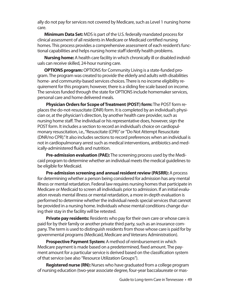ally do not pay for services not covered by Medicare, such as Level 1 nursing home care.

**Minimum Data Set:** MDS is part of the U.S. federally mandated process for clinical assessment of all residents in Medicare or Medicaid certified nursing homes. This process provides a comprehensive assessment of each resident's functional capabilities and helps nursing home staff identify health problems.

**Nursing home:** A health care facility in which chronically ill or disabled individuals can receive skilled, 24-hour nursing care.

**OPTIONS program:**OPTIONS for Community Living is a state-funded program. The program was created to provide the elderly and adults with disabilities home- and community-based services choices. There is no income eligibility requirement for this program; however, there is a sliding fee scale based on income. The services funded through the state for OPTIONS include homemaker services, personal care and home delivered meals.

**Physician Orders for Scope of Treatment (POST) form:**The POST form replaces the do-not-resuscitate (DNR) form. It is completed by an individual's physician or, at the physician's direction, by another health care provider, such as nursing home staff. The individual or his representative does, however, sign the POST form. It includes a section to record an individual's choice on cardiopulmonary resuscitation, i.e., "Resuscitate (CPR)" or "Do Not Attempt Resuscitate (DNR/no CPR)." It also includes sections to record preferences when an individual is not in cardiopulmonary arrest such as medical interventions, antibiotics and medically-administered fluids and nutrition.

**Pre-admission evaluation (PAE):**The screening process used by the Medicaid program to determine whether an individual meets the medical guidelines to be eligible for Medicaid.

**Pre-admission screening and annual resident review (PASRR):** A process for determining whether a person being considered for admission has any mental illness or mental retardation. Federal law requires nursing homes that participate in Medicare or Medicaid to screen all individuals prior to admission. If an initial evaluation reveals mental illness or mental retardation, a more in-depth evaluation is performed to determine whether the individual needs special services that cannot be provided in a nursing home. Individuals whose mental conditions change during their stay in the facility will be retested.

**Private pay residents:** Residents who pay for their own care or whose care is paid for by their family or another private third party, such as an insurance company. The term is used to distinguish residents from those whose care is paid for by governmental programs (Medicaid, Medicare and Veterans Administration).

**Prospective Payment System:** A method of reimbursement in which Medicare payment is made based on a predetermined, fixed amount. The payment amount for a particular service is derived based on the classification system of that service (see also "Resource Utilization Groups").

**Registered nurse (RN):** Nurses who have graduated from a college program of nursing education (two-year associate degree, four-year baccalaureate or mas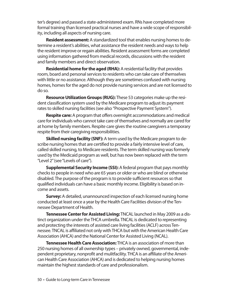ter's degree) and passed a state-administered exam. RNs have completed more formal training than licensed practical nurses and have a wide scope of responsibility, including all aspects of nursing care.

**Resident assessment:** A standardized tool that enables nursing homes to determine a resident's abilities, what assistance the resident needs and ways to help the resident improve or regain abilities. Resident assessment forms are completed using information gathered from medical records, discussions with the resident and family members and direct observation.

**Residential home for the aged (RHA):** A residential facility that provides room, board and personal services to residents who can take care of themselves with little or no assistance. Although they are sometimes confused with nursing homes, homes for the aged do not provide nursing services and are not licensed to do so.

**Resource Utilization Groups (RUG):** These 53 categories make up the resident classification system used by the Medicare program to adjust its payment rates to skilled nursing facilities (see also "Prospective Payment System").

**Respite care:** A program that offers overnight accommodations and medical care for individuals who cannot take care of themselves and normally are cared for at home by family members. Respite care gives the routine caregivers a temporary respite from their caregiving responsibilities.

**Skilled nursing facility (SNF):** A term used by the Medicare program to describe nursing homes that are certified to provide a fairly intensive level of care, called skilled nursing, to Medicare residents. The term skilled nursing was formerly used by the Medicaid program as well, but has now been replaced with the term "Level 2" (see "Levels of care").

**Supplemental Security Income (SSI):** A federal program that pays monthly checks to people in need who are 65 years or older or who are blind or otherwise disabled. The purpose of the program is to provide sufficient resources so that qualified individuals can have a basic monthly income. Eligibility is based on income and assets.

**Survey:** A detailed, unannounced inspection of each licensed nursing home conducted at least once a year by the Health Care Facilities division of the Tennessee Department of Health.

**Tennessee Center for Assisted Living:**TNCAL launched in May 2009 as a distinct organization under the THCA umbrella. TNCAL is dedicated to representing and protecting the interests of assisted care living facilities (ACLF) across Tennessee. TNCAL is affiliated not only with THCA but with the American Health Care Association (AHCA) and the National Center for Assisted Living (NCAL).

**Tennessee Health Care Association:**THCA is an association of more than 250 nursing homes of all ownership types – privately owned, governmental, independent proprietary, nonprofit and mulitfacility. THCA is an affiliate of the American Health Care Association (AHCA) and is dedicated to helping nursing homes maintain the highest standards of care and professionalism.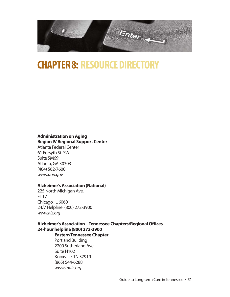

## **CHAPTER 8: RESOURCE DIRECTORY**

#### **Administration on Aging Region IV Regional Support Center**

Atlanta Federal Center 61 Forsyth St. SW Suite 5M69 Atlanta, GA 30303 (404) 562-7600 *www.aoa.gov*

### **Alzheimer's Association (National)**

225 North Michigan Ave. Fl. 17 Chicago, IL 60601 24/7 Helpline: (800) 272-3900 *www.alz.org*

### **Alzheimer's Association – Tennessee Chapters/Regional Offices 24-hour helpline (800) 272-3900**

### **Eastern Tennessee Chapter**

Portland Building 2200 Sutherland Ave. Suite H102 Knoxville, TN 37919 (865) 544-6288 www.tnalz.org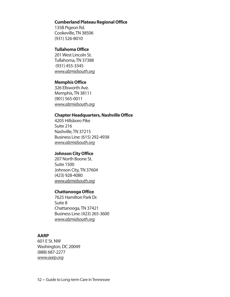#### **Cumberland Plateau Regional Office**

135B Pigeon Rd. Cookeville, TN 38506 (931) 526-8010

#### **Tullahoma Office**

201 West Lincoln St. Tullahoma, TN 37388 (931) 455-3345 *www.alzmidsouth.org*

#### **Memphis Office**

326 Ellsworth Ave. Memphis, TN 38111 (901) 565-0011 *www.alzmidsouth.org*

#### **Chapter Headquarters, Nashville Office**

4205 Hillsboro Pike Suite 216 Nashville, TN 37215 Business Line: (615) 292-4938 *www.alzmidsouth.org*

#### **Johnson City Office**

207 North Boone St. Suite 1500 Johnson City, TN 37604 (423) 928-4080 *www.alzmidsouth.org*

### **Chattanooga Office**

7625 Hamilton Park Dr. Suite 8 Chattanooga, TN 37421 Business Line: (423) 265-3600 *www.alzmidsouth.org*

### **AARP**

601 E St. NW Washington, DC 20049 (888) 687-2277 *www.aarp.org*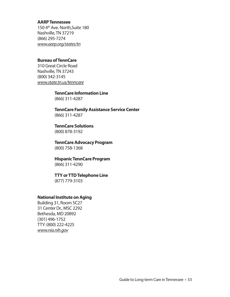#### **AARP Tennessee**

150 4<sup>th</sup> Ave. North, Suite 180 Nashville, TN 37219 (866) 295-7274 *www.aarp.org/states/tn*

### **Bureau of TennCare**

310 Great Circle Road Nashville, TN 37243 (800) 342-3145 *www.state.tn.us/tenncare*

#### **TennCare Information Line**

(866) 311-4287

**TennCare Family Assistance Service Center** (866) 311-4287

#### **TennCare Solutions** (800) 878-3192

**TennCare Advocacy Program** (800) 758-1368

#### **Hispanic TennCare Program** (866) 311-4290

#### **TTY or TTD Telephone Line**

(877) 779-3103

#### **National Institute on Aging**

Building 31, Room 5C27 31 Center Dr., MSC 2292 Bethesda, MD 20892 (301) 496-1752 TTY: (800) 222-4225 *www.nia.nih.gov*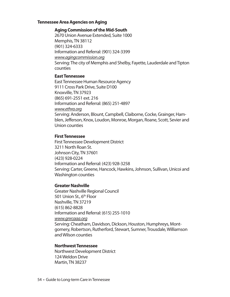#### **Tennessee Area Agencies on Aging**

#### **Aging Commission of the Mid-South**

2670 Union Avenue Extended, Suite 1000 Memphis, TN 38112 (901) 324-6333 Information and Referral: (901) 324-3399 *www.agingcommission.org* Serving: The city of Memphis and Shelby, Fayette, Lauderdale and Tipton counties

#### **East Tennessee**

East Tennessee Human Resource Agency 9111 Cross Park Drive, Suite D100 Knoxville, TN 37923 (865) 691-2551 ext. 216 Information and Referral: (865) 251-4897 *www.ethra.org* Serving: Anderson, Blount, Campbell, Claiborne, Cocke, Grainger, Hamblen, Jefferson, Knox, Loudon, Monroe, Morgan, Roane, Scott, Sevier and Union counties

#### **First Tennessee**

First Tennessee Development District 3211 North Roan St. Johnson City, TN 37601 (423) 928-0224 Information and Referral: (423) 928-3258 Serving: Carter, Greene, Hancock, Hawkins, Johnson, Sullivan, Unicoi and Washington counties

### **Greater Nashville**

Greater Nashville Regional Council 501 Union St., 6<sup>th</sup> Floor Nashville, TN 37219 (615) 862-8828 Information and Referral: (615) 255-1010 *www.gnrcaaa.org* Serving: Cheatham, Davidson, Dickson, Houston, Humphreys, Montgomery, Robertson, Rutherford, Stewart, Sumner, Trousdale, Williamson and Wilson counties

### **Northwest Tennessee**

Northwest Development District 124 Weldon Drive Martin, TN 38237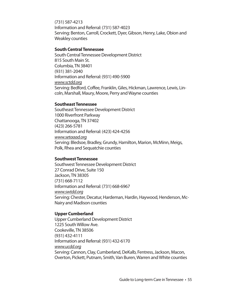(731) 587-4213 Information and Referral: (731) 587-4023 Serving: Benton, Carroll, Crockett, Dyer, Gibson, Henry, Lake, Obion and Weakley counties

#### **South Central Tennessee**

South Central Tennessee Development District 815 South Main St. Columbia, TN 38401 (931) 381-2040 Information and Referral: (931) 490-5900 *www.sctdd.org* Serving: Bedford, Coffee, Franklin, Giles, Hickman, Lawrence, Lewis, Lincoln, Marshall, Maury, Moore, Perry and Wayne counties

#### **Southeast Tennessee**

Southeast Tennessee Development District 1000 Riverfront Parkway Chattanooga, TN 37402 (423) 266-5781 Information and Referral: (423) 424-4256 *www.setaaad.org* Serving: Bledsoe, Bradley, Grundy, Hamilton, Marion, McMinn, Meigs, Polk, Rhea and Sequatchie counties

#### **Southwest Tennessee**

Southwest Tennessee Development District 27 Conrad Drive, Suite 150 Jackson, TN 38305 (731) 668-7112 Information and Referral: (731) 668-6967 *www.swtdd.org* Serving: Chester, Decatur, Hardeman, Hardin, Haywood, Henderson, Mc-Nairy and Madison counties

#### **Upper Cumberland**

Upper Cumberland Development District 1225 South Willow Ave. Cookeville, TN 38506 (931) 432-4111 Information and Referral: (931) 432-6170 *www.ucdd.org* Serving: Cannon, Clay, Cumberland, DeKalb, Fentress, Jackson, Macon, Overton, Pickett, Putnam, Smith, Van Buren, Warren and White counties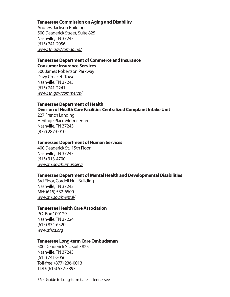#### **Tennessee Commission on Aging and Disability**

Andrew Jackson Building 500 Deaderick Street, Suite 825 Nashville, TN 37243 (615) 741-2056 *www.tn.gov/comaging/*

#### **Tennessee Department of Commerce and Insurance Consumer Insurance Services**

500 James Robertson Parkway Davy Crockett Tower Nashville, TN 37243 (615) 741-2241 *www.tn.gov/commerce/*

### **Tennessee Department of Health**

#### **Division of Health Care Facilities Centralized Complaint Intake Unit**

227 French Landing Heritage Place Metrocenter Nashville, TN 37243 (877) 287-0010

#### **Tennessee Department of Human Services**

400 Deaderick St., 15th Floor Nashville, TN 37243 (615) 313-4700 *www.tn.gov/humanserv/*

#### **Tennessee Department of Mental Health and Developmental Disabilities**

3rd Floor, Cordell Hull Building Nashville, TN 37243 MH: (615) 532-6500 *www.tn.gov/mental/*

#### **Tennessee Health Care Association**

P.O. Box 100129 Nashville, TN 37224 (615) 834-6520 *www.thca.org*

#### **Tennessee Long-term Care Ombudsman**

500 Deaderick St., Suite 825 Nashville, TN 37243 (615) 741-2056 Toll-free: (877) 236-0013 TDD: (615) 532-3893

56 • Guide to Long-term Care in Tennessee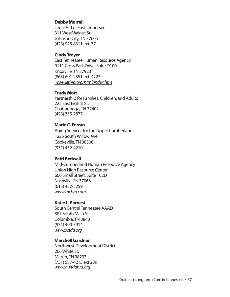#### **Debby Morrell**

Legal Aid of East Tennessee 311 West Walnut St. Johnson City, TN 37605 (423) 928-8311 ext. 37

#### **Cindy Troyer**

East Tennessee Human Resource Agency 9111 Cross Park Drive, Suite D100 Knoxville, TN 37923 (865) 691-2551 ext. 4223  *www.ethra.org/html/index.htm*

#### **Trudy Mott**

Partnership for Families, Children, and Adults 225 East Eighth St. Chattanooga, TN 37402 (423) 755-2877

#### **Marie C. Ferran**

Aging Services for the Upper Cumberlands 1225 South Willow Ave. Cookeville, TN 38506 (931) 432-4210

#### **Patti Bedwell**

Mid-Cumberland Human Resource Agency Union High Resource Center 600 Small Street, Suite 102D Nashville, TN 37066 (615) 452-5259 *www.mchra.com* 

#### **Katie L. Earnest**

South Central Tennessee AAAD 807 South Main St. Columbia, TN 38401 (931) 490-5914 *www.sctdd.org*

#### **Marchell Gardner**

Northwest Development District 206 White St. Martin, TN 38237 (731) 587-4213 ext.239 *www.hwtddhra.org*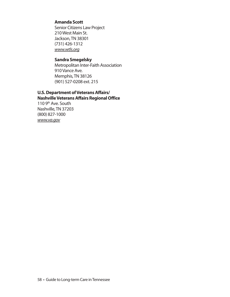### **Amanda Scott**

Senior Citizens Law Project 210 West Main St. Jackson, TN 38301 (731) 426-1312 *www.wtls.org*

#### **Sandra Smegelsky**

Metropolitan Inter-Faith Association 910 Vance Ave. Memphis, TN 38126 (901) 527-0208 ext. 215

#### **U.S. Department of Veterans Affairs/ Nashville Veterans Affairs Regional Office**

110 9<sup>th</sup> Ave. South Nashville, TN 37203 (800) 827-1000 *www.va.gov*